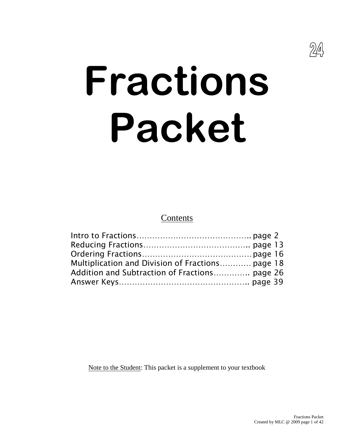

# **Fractions Packet**

Contents

| Multiplication and Division of Fractions page 18 |  |
|--------------------------------------------------|--|
| Addition and Subtraction of Fractions page 26    |  |
|                                                  |  |

Note to the Student: This packet is a supplement to your textbook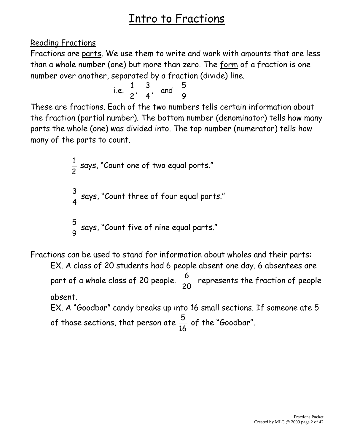#### Reading Fractions

Fractions are parts. We use them to write and work with amounts that are less than a whole number (one) but more than zero. The form of a fraction is one number over another, separated by a fraction (divide) line.

i.e. 
$$
\frac{1}{2}
$$
,  $\frac{3}{4}$ , and  $\frac{5}{9}$ 

These are fractions. Each of the two numbers tells certain information about the fraction (partial number). The bottom number (denominator) tells how many parts the whole (one) was divided into. The top number (numerator) tells how many of the parts to count.

$$
\frac{1}{2}
$$
 says, "Count one of two equal ports."  

$$
\frac{3}{4}
$$
 says, "Count three of four equal parts."  

$$
\frac{5}{9}
$$
 says, "Count five of nine equal parts."

Fractions can be used to stand for information about wholes and their parts: EX. A class of 20 students had 6 people absent one day. 6 absentees are

part of a whole class of 20 people. 20 6 represents the fraction of people absent.

EX. A "Goodbar" candy breaks up into 16 small sections. If someone ate 5 of those sections, that person ate 16  $\frac{5}{2}$  of the "Goodbar".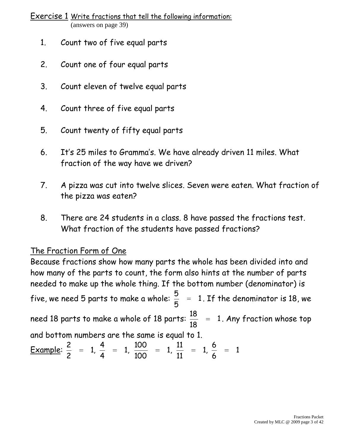Exercise 1 Write fractions that tell the following information: (answers on page 39)

- 1. Count two of five equal parts
- 2. Count one of four equal parts
- 3. Count eleven of twelve equal parts
- 4. Count three of five equal parts
- 5. Count twenty of fifty equal parts
- 6. It's 25 miles to Gramma's. We have already driven 11 miles. What fraction of the way have we driven?
- 7. A pizza was cut into twelve slices. Seven were eaten. What fraction of the pizza was eaten?
- 8. There are 24 students in a class. 8 have passed the fractions test. What fraction of the students have passed fractions?

#### The Fraction Form of One

Because fractions show how many parts the whole has been divided into and how many of the parts to count, the form also hints at the number of parts needed to make up the whole thing. If the bottom number (denominator) is five, we need 5 parts to make a whole:  $\frac{3}{2}$  = 1 5 5 . If the denominator is 18, we need 18 parts to make a whole of 18 parts:  $\frac{16}{12}$  = 1 18 18 . Any fraction whose top and bottom numbers are the same is equal to 1. Example:  $\frac{1}{6}$  = 1,  $\frac{1}{4}$  = 1,  $\frac{100}{100}$  = 1,  $\frac{11}{14}$  = 1,  $\frac{1}{4}$  = 1 6 6 1, 11  $1, \frac{11}{11}$ 100  $1, \frac{100}{100}$ 4 4 1, 2 2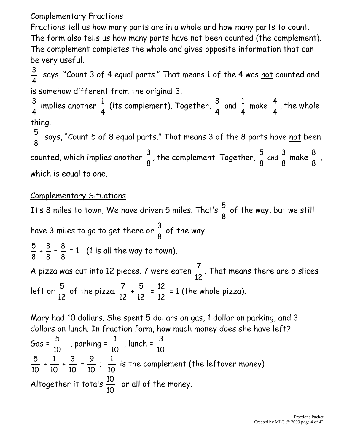#### Complementary Fractions

Fractions tell us how many parts are in a whole and how many parts to count. The form also tells us how many parts have not been counted (the complement). The complement completes the whole and gives opposite information that can be very useful.

4  $\frac{3}{4}$  says, "Count 3 of 4 equal parts." That means 1 of the 4 was <u>not</u> counted and is somehow different from the original 3.

4  $\frac{3}{4}$  implies another 4  $\frac{1}{4}$  (its complement). Together, 4 4 make 4 1 and 4 3 , the whole thing.

8  $\frac{5}{3}$  says, "Count 5 of 8 equal parts." That means 3 of the 8 parts have <u>not</u> been counted, which implies another 8  $\frac{3}{2}$ , the complement. Together, 8 5 and 8  $\frac{3}{5}$  make 8  $\frac{8}{2}$ , which is equal to one.

#### Complementary Situations

It's 8 miles to town, We have driven 5 miles. That's 8  $\frac{5}{6}$  of the way, but we still have 3 miles to go to get there or 8  $\frac{3}{2}$  of the way. 8 5 + 8 3 = 8  $\frac{8}{9}$  = 1 (1 is <u>all</u> the way to town). A pizza was cut into 12 pieces. 7 were eaten 12 7 . That means there are 5 slices left or 12 5 of the pizza. 12 7 + 12 5  $=$ 12 12 = 1 (the whole pizza).

Mary had 10 dollars. She spent 5 dollars on gas, 1 dollar on parking, and 3 dollars on lunch. In fraction form, how much money does she have left? Gas = 10 5 , parking = 10 1 , lunch = 10 3 10 5 + 10 1 + 10 3 = 10 9 ; 10 1 is the complement (the leftover money) Altogether it totals 10 10 or all of the money.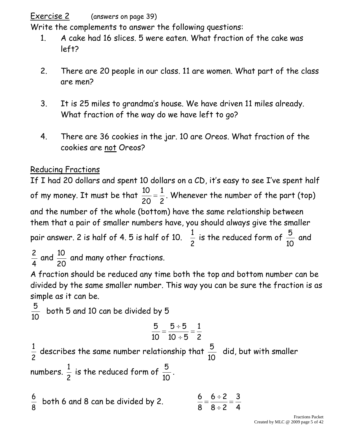Exercise 2 (answers on page 39)

Write the complements to answer the following questions:

- 1. A cake had 16 slices. 5 were eaten. What fraction of the cake was left?
- 2. There are 20 people in our class. 11 are women. What part of the class are men?
- 3. It is 25 miles to grandma's house. We have driven 11 miles already. What fraction of the way do we have left to go?
- 4. There are 36 cookies in the jar. 10 are Oreos. What fraction of the cookies are not Oreos?

#### Reducing Fractions

20

4

If I had 20 dollars and spent 10 dollars on a CD, it's easy to see I've spent half of my money. It must be that 2 1 20 10 . Whenever the number of the part (top) and the number of the whole (bottom) have the same relationship between them that a pair of smaller numbers have, you should always give the smaller pair answer. 2 is half of 4. 5 is half of 10. 2  $\frac{1}{2}$  is the reduced form of 10 5 and  $\frac{2}{1}$  and 10 and many other fractions.

A fraction should be reduced any time both the top and bottom number can be divided by the same smaller number. This way you can be sure the fraction is as simple as it can be.

10 5 both 5 and 10 can be divided by 5

$$
\frac{5}{10} = \frac{5 \div 5}{10 \div 5} = \frac{1}{2}
$$

2  $\frac{1}{2}$  describes the same number relationship that 10 5 did, but with smaller numbers. 2  $\frac{1}{2}$  is the reduced form of 10 5 .

8  $\frac{6}{9}$  both 6 and 8 can be divided by 2. 4 3  $8 \div 2$  $6 \div 2$ 8 6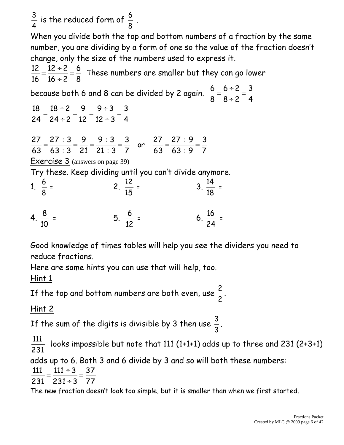4  $\frac{3}{4}$  is the reduced form of 8  $\frac{6}{2}$ .

When you divide both the top and bottom numbers of a fraction by the same number, you are dividing by a form of one so the value of the fraction doesn't change, only the size of the numbers used to express it.

8 6  $16 \div 2$  $12 \div 2$ 16 12 These numbers are smaller but they can go lower

because both 6 and 8 can be divided by 2 again. 4 3  $8 \div 2$  $6 ÷ 2$ 8 6

4 3  $12 \div 3$  $9 ÷ 3$ 12 9  $24 \div 2$  $18 \div 2$ 24 18

7 3  $63 \div 9$  $27 ÷ 9$ 63 27 or 7 3  $21 \div 3$  $9 ÷ 3$ 21 9  $63 \div 3$  $27 ÷ 3$ 63 27

Exercise 3 (answers on page 39)

Try these. Keep dividing until you can't divide anymore.

1. 
$$
\frac{6}{8}
$$
 = 2.  $\frac{12}{15}$  = 3.  $\frac{14}{18}$  =

$$
4. \ \frac{8}{10} = 5. \ \frac{6}{12} = 6. \ \frac{16}{24} =
$$

Good knowledge of times tables will help you see the dividers you need to reduce fractions.

Here are some hints you can use that will help, too. Hint 1

If the top and bottom numbers are both even, use 2  $\frac{2}{2}$ .

#### Hint 2

If the sum of the digits is divisible by 3 then use 3  $\frac{3}{2}$ .

231 111 looks impossible but note that 111 (1+1+1) adds up to three and 231 (2+3+1)

adds up to 6. Both 3 and 6 divide by 3 and so will both these numbers:

$$
\frac{111}{224} = \frac{111 \div 3}{224 \cdot 2} = \frac{37}{77}
$$

$$
231 \quad 231 \div 3 \quad 77
$$

The new fraction doesn't look too simple, but it is smaller than when we first started.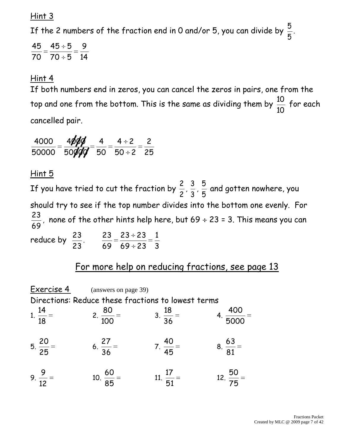Hint 3

If the 2 numbers of the fraction end in 0 and/or 5, you can divide by 5 5

14 9  $70 \div 5$  $\overline{45} \div 5$ 70 45

#### Hint 4

If both numbers end in zeros, you can cancel the zeros in pairs, one from the top and one from the bottom. This is the same as dividing them by 10 10 for each cancelled pair.

25 2  $50 \div 2$  $4 \div 2$ 50 4 50**ØØ** 4**øøø** 50000 4000

#### Hint 5

If you have tried to cut the fraction by 2 2 , 3 3 , 5  $\frac{5}{5}$  and gotten nowhere, you should try to see if the top number divides into the bottom one evenly. For 69 23 , none of the other hints help here, but 69 ÷ 23 = 3. This means you can reduce by 23 23 . 3 1 69 ÷ 23  $23 \div 23$ 69 23

#### For more help on reducing fractions, see page 13

Exercise 4 (answers on page 39) Directions: Reduce these fractions to lowest terms 1. 18 14 2. 100 80 3. 36 18 4. 5000 400 5. 25 20 6. 36 27 7. 45 40 8. 81 63 9. 12 9 10. 85 60 11. 51 17 12. 75 50

.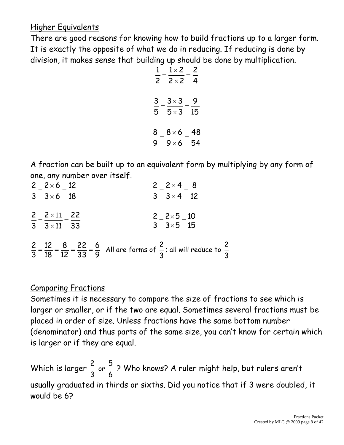#### Higher Equivalents

There are good reasons for knowing how to build fractions up to a larger form. It is exactly the opposite of what we do in reducing. If reducing is done by division, it makes sense that building up should be done by multiplication.

| $\mathbf{1}$   | $1\times 2$  | 2  |
|----------------|--------------|----|
| $\overline{c}$ | $2 \times 2$ | 4  |
| 3              | $3\times 3$  | 9  |
| 5              | $5 \times 3$ | 15 |
| 8              | $8\times 6$  | 48 |
| 9              | $9\times 6$  | 54 |

A fraction can be built up to an equivalent form by multiplying by any form of one, any number over itself.

| 2 $2 \times 6$ 12                                                          | $2 - 2 \times 4 - 8$                                                                                                                         |
|----------------------------------------------------------------------------|----------------------------------------------------------------------------------------------------------------------------------------------|
| $\frac{1}{3} = \frac{1}{3 \times 6} = \frac{1}{18}$                        | $\frac{1}{3} = \frac{1}{3 \times 4} = \frac{1}{12}$                                                                                          |
| 2 $2 \times 11$ 22<br>$\frac{1}{3} = \frac{1}{3 \times 11} = \frac{1}{33}$ | $\frac{2}{3} = \frac{2 \times 5}{3 \times 5} = \frac{10}{15}$                                                                                |
|                                                                            |                                                                                                                                              |
|                                                                            | $\frac{2}{3} = \frac{12}{18} = \frac{8}{12} = \frac{22}{33} = \frac{6}{9}$ All are forms of $\frac{2}{3}$ ; all will reduce to $\frac{2}{3}$ |

#### Comparing Fractions

Sometimes it is necessary to compare the size of fractions to see which is larger or smaller, or if the two are equal. Sometimes several fractions must be placed in order of size. Unless fractions have the same bottom number (denominator) and thus parts of the same size, you can't know for certain which is larger or if they are equal.

Which is larger or  $\frac{5}{4}$  ? Who knows? A ruler might help, but rulers aren't usually graduated in thirds or sixths. Did you notice that if 3 were doubled, it would be 6?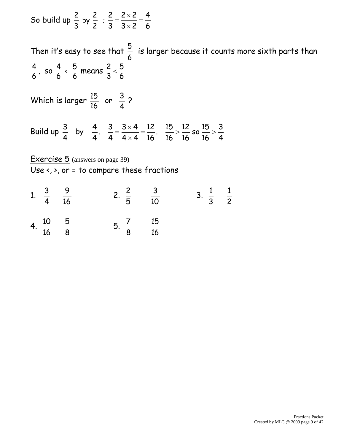So build up by ;  $3 \times 2$  $2 \times 2$  

Then it's easy to see that  $\frac{5}{4}$  is larger because it counts more sixth parts than  $\frac{4}{6}$ , so  $\frac{4}{1}$   $\frac{5}{6}$  means Which is larger  $\frac{15}{16}$  or  $\frac{3}{4}$  ? Build up so .  $4 \times 4$  $3 \times 4$  . by Exercise 5 (answers on page 39) Use <, >, or = to compare these fractions 1.  $\frac{3}{2}$   $\frac{9}{2}$  2.  $\frac{2}{2}$   $\frac{3}{2}$  3. 

4. 
$$
\frac{10}{16}
$$
 5 5.  $\frac{7}{8}$  15 16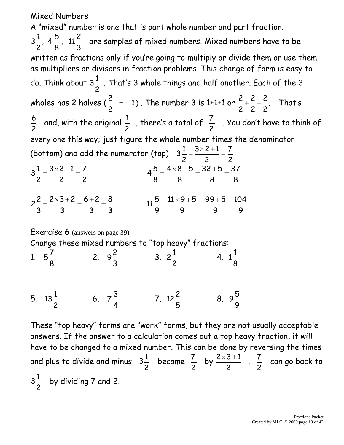#### Mixed Numbers

A "mixed" number is one that is part whole number and part fraction. , 11 , 4  $3\frac{1}{2}$ ,  $4\frac{1}{2}$ ,  $11\frac{1}{2}$  are samples of mixed numbers. Mixed numbers have to be written as fractions only if you're going to multiply or divide them or use them as multipliers or divisors in fraction problems. This change of form is easy to do. Think about . That's 3 whole things and half another. Each of the 3 wholes has 2 halves (  $\frac{2}{3}$  = 1  $\frac{2}{5}$  = 1). The number 3 is 1+1+1 or  $\frac{2}{5} + \frac{2}{5} + \frac{2}{5}$ .  $\frac{2}{2} + \frac{2}{2} + \frac{2}{3}$ . That's  $\frac{6}{6}$  and, with the original  $\frac{1}{2}$  , there's a total of  $\frac{7}{6}$  . You don't have to think of every one this way; just figure the whole number times the denominator (bottom) and add the numerator (top)  $3\frac{1}{2} = \frac{3\sqrt{2}+1}{2} = \frac{7}{2}$ .  $3 \times 2 + 1$   $3 \times 2 + 1$   $3\frac{1}{2} = \frac{3\sqrt{2}+1}{2} = \frac{7}{2}$   $32 + 5$   $4 \times 8 + 5$   $6 + 2$   $2 \times 3 + 2$   $2\frac{2}{2} = \frac{2\times3}{2} = \frac{6\times2}{2} = \frac{3}{2}$   $99 + 5$   $11 \times 9 + 5$  Exercise 6 (answers on page 39) Change these mixed numbers to "top heavy" fractions: 1. 2.  $9\frac{2}{3}$  3.  $2\frac{1}{2}$  4. 5.  $13\frac{1}{2}$  6.  $7\frac{3}{4}$  7.  $12 \frac{2}{5}$  8. These "top heavy" forms are "work" forms, but they are not usually acceptable answers. If the answer to a calculation comes out a top heavy fraction, it will

have to be changed to a mixed number. This can be done by reversing the times and plus to divide and minus.  $3\frac{1}{2}$  became  $\frac{7}{4}$  by  $\frac{2 \times 3 + 1}{2}$ .  $\frac{7}{2}$  can go back to  $3\frac{1}{2}$  by dividing 7 and 2.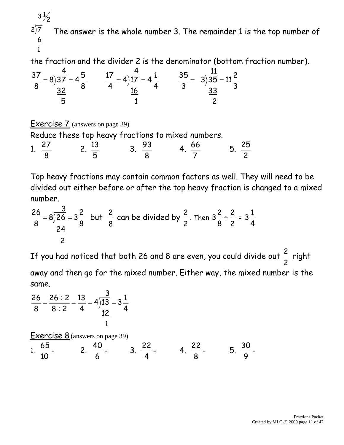$2\sqrt{7}$  $3\frac{1}{2}$ The answer is the whole number 3. The remainder 1 is the top number of

the fraction and the divider 2 is the denominator (bottom fraction number).

$$
\frac{37}{8} = 8\overline{\smash)37} = 4\frac{5}{8} \qquad \frac{17}{4} = 4\overline{\smash)17} = 4\frac{1}{4} \qquad \frac{35}{3} = 3\overline{\smash)35} = 11\frac{2}{3}
$$
  

$$
\frac{32}{5} = 11\frac{2}{3}
$$

Exercise 7 (answers on page 39)

Reduce these top heavy fractions to mixed numbers.

1. 2. 3.  $\frac{93}{2}$  4.  $\frac{66}{5}$  5. 

Top heavy fractions may contain common factors as well. They will need to be divided out either before or after the top heavy fraction is changed to a mixed number.

$$
\frac{26}{8} = 8\overline{\smash)26} = 3\frac{2}{8}
$$
 but  $\frac{2}{8}$  can be divided by  $\frac{2}{2}$ . Then  $3\frac{2}{8} \div \frac{2}{2} = 3\frac{1}{4}$ 

If you had noticed that both 26 and 8 are even, you could divide out  $\frac{2}{5}$  right away and then go for the mixed number. Either way, the mixed number is the same.

$$
\frac{26}{8} = \frac{26 \div 2}{8 \div 2} = \frac{13}{4} = 4\overline{\smash)13} = 3\frac{1}{4}
$$

Exercise 8 (answers on page 39)

1. 
$$
\frac{65}{10}
$$
 = 2.  $\frac{40}{6}$  = 3.  $\frac{22}{4}$  = 4.  $\frac{22}{8}$  = 5.  $\frac{30}{9}$  =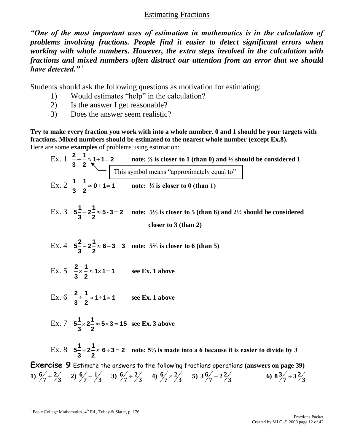#### Estimating Fractions

*"One of the most important uses of estimation in mathematics is in the calculation of problems involving fractions. People find it easier to detect significant errors when working with whole numbers. However, the extra steps involved in the calculation with fractions and mixed numbers often distract our attention from an error that we should have detected."* **<sup>1</sup>**

Students should ask the following questions as motivation for estimating:

- 1) Would estimates "help" in the calculation?
- 2) Is the answer I get reasonable?
- 3) Does the answer seem realistic?

**Try to make every fraction you work with into a whole number. 0 and 1 should be your targets with fractions. Mixed numbers should be estimated to the nearest whole number (except Ex.8).** Here are some **examples** of problems using estimation:

Ex. 1 
$$
\frac{2}{3} + \frac{1}{2} \approx 1 + 1 = 2
$$
 note:  $\frac{1}{2}$  is closer to 1 (than 0) and  $\frac{1}{2}$  should be considered 1

\nEx. 2  $\frac{1}{3} + \frac{1}{2} \approx 0 + 1 = 1$  note:  $\frac{1}{2}$  is closer to 0 (than 1)

\nEx. 3  $5\frac{1}{3} - 2\frac{1}{2} \approx 5 - 3 = 2$  note:  $5\frac{1}{2}$  is closer to 5 (than 6) and  $2\frac{1}{2}$  should be considered closer to 3 (than 2)

\nEx. 4  $5\frac{2}{3} - 2\frac{1}{2} \approx 6 - 3 = 3$  note:  $5\frac{1}{2}$  is closer to 6 (than 5)

\nEx. 5  $\frac{2}{3} \times \frac{1}{2} \approx 1 \times 1 = 1$  see Ex. 1 above

\nEx. 6  $\frac{2}{3} + \frac{1}{2} \approx 1 \times 1 = 1$  see Ex. 1 above

\nEx. 7  $5\frac{1}{3} \times 2\frac{1}{2} \approx 5 \times 3 = 15$  see Ex. 3 above

\nEx. 8  $5\frac{1}{3} \div 2\frac{1}{2} \approx 6 \div 3 = 2$  note:  $5\frac{1}{2}$  is made into a 6 because it is easier to divide by 3

\nExercise 9. Estimate the answers to the following fractions operations (answers on page 39)

\n1)  $\frac{6}{7} + \frac{2}{3}$  2)  $\frac{6}{7} - \frac{1}{3}$  3)  $\frac{6}{7} \div \frac{2}{3}$  4)  $\frac{6}{7} \times \frac{2}{3}$  5)  $\frac{3}{7} - 2\frac{1}{3}$  6)  $8\frac{3}{7} \div 3\frac{1}{2}$ 

 

 $\overline{a}$  $1 \text{ Basic College Mathematics } 4^{\text{th}}$  Ed., Tobey & Slater, p. 176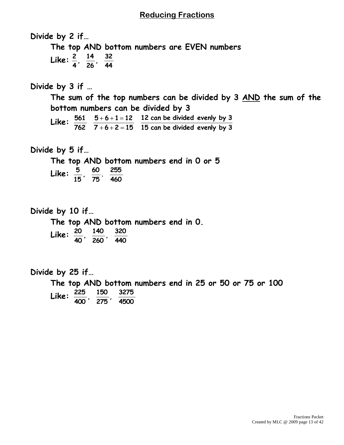#### **Reducing Fractions**

**Divide by 2 if… The top AND bottom numbers are EVEN numbers Like: 44 32 , 26**  $\frac{14}{11}$ **4 2 Divide by 3 if … The sum of the top numbers can be divided by 3 AND the sum of the bottom numbers can be divided by 3 Like: 15 can be divided evenly by 3 12 can be divided evenly by 3**  $7 + 6 + 2 = 15$  $5 + 6 + 1 = 12$ **762 561 Divide by 5 if… The top AND bottom numbers end in 0 or 5 Like: 460 255 75 60 , 15**  $\frac{5}{17}$ ,  $\frac{60}{17}$ **Divide by 10 if… The top AND bottom numbers end in 0. Like: 440 320 , 260 140 , 40 20 Divide by 25 if… The top AND bottom numbers end in 25 or 50 or 75 or 100 Like: 4500 3275 , 275**  $\frac{150}{1}$ **400 225**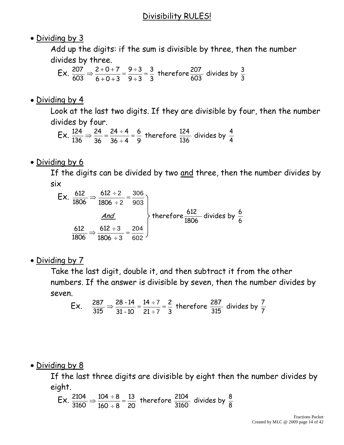#### Divisibility RULES!

#### • Dividing by 3

Add up the digits: if the sum is divisible by three, then the number divides by three.

 Ex. 3 3  $9 ÷ 3$  $9 ÷ 3$  $6 + 0 + 3$  $2 + 0 + 7$ 603  $\frac{207}{102}$   $\Rightarrow$   $\frac{2+0+7}{102}$   $\frac{9 \div 3}{2 \cdot 2}$   $\frac{3}{2}$  therefore 603  $\frac{207}{102}$  divides by 3 3

#### • Dividing by 4

Look at the last two digits. If they are divisible by four, then the number divides by four.

 Ex. 9 6  $36 \div 4$  $24 \div 4$ 36 24 136  $\frac{124}{126}$   $\Rightarrow$   $\frac{24}{36}$  =  $\frac{24 \div 4}{36 \div 4}$  =  $\frac{6}{8}$  therefore 136  $\frac{124}{126}$  divides by 4 4

• Dividing by 6

If the digits can be divided by two and three, then the number divides by six

$$
Ex. \frac{612}{1806} \Rightarrow \frac{612 \div 2}{1806 \div 2} = \frac{306}{903}
$$
\n
$$
\xrightarrow{\underline{And}}
$$
\n
$$
\frac{612}{1806} \Rightarrow \frac{612 \div 3}{1806 \div 3} = \frac{204}{602}
$$
\n
$$
x = 3
$$
\n
$$
x = 4
$$
\n
$$
x = 6
$$
\n
$$
x = 6
$$
\n
$$
x = 6
$$
\n
$$
x = 6
$$
\n
$$
x = 6
$$
\n
$$
x = 6
$$
\n
$$
x = 6
$$
\n
$$
x = 6
$$
\n
$$
x = 6
$$
\n
$$
x = 6
$$
\n
$$
x = 6
$$
\n
$$
x = 6
$$
\n
$$
x = 6
$$
\n
$$
x = 6
$$
\n
$$
x = 6
$$
\n
$$
x = 6
$$
\n
$$
x = 6
$$
\n
$$
x = 6
$$
\n
$$
x = 6
$$
\n
$$
x = 6
$$
\n
$$
x = 6
$$
\n
$$
x = 6
$$
\n
$$
x = 6
$$
\n
$$
x = 6
$$
\n
$$
x = 6
$$
\n
$$
x = 6
$$
\n
$$
x = 6
$$
\n
$$
x = 6
$$
\n
$$
x = 6
$$
\n
$$
x = 6
$$
\n
$$
x = 6
$$
\n
$$
x = 6
$$
\n
$$
x = 6
$$
\n
$$
x = 6
$$
\n
$$
x = 6
$$
\n
$$
x = 6
$$
\n
$$
x = 6
$$
\n
$$
x = 6
$$
\n
$$
x = 6
$$
\n
$$
x = 6
$$
\n
$$
x = 6
$$
\n
$$
x = 6
$$
\n
$$
x = 6
$$
\n
$$
x =
$$

• Dividing by 7

Take the last digit, double it, and then subtract it from the other numbers. If the answer is divisible by seven, then the number divides by seven.

Ex. 
$$
\frac{287}{315} \Rightarrow \frac{28-14}{31-10} = \frac{14 \div 7}{21 \div 7} = \frac{2}{3}
$$
 therefore  $\frac{287}{315}$  divides by  $\frac{7}{7}$ 

Dividing by 8

If the last three digits are divisible by eight then the number divides by eight.

Ex. 
$$
\frac{2104}{3160} \Rightarrow \frac{104 \div 8}{160 \div 8} = \frac{13}{20}
$$
 therefore  $\frac{2104}{3160}$  divides by  $\frac{8}{8}$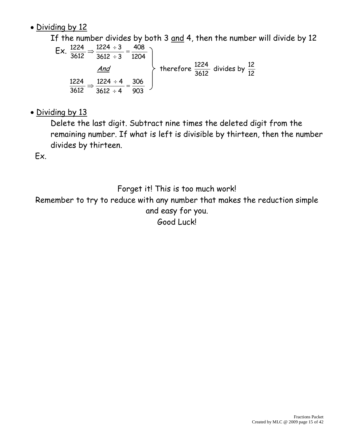#### • Dividing by 12

If the number divides by both 3 and 4, then the number will divide by 12

$$
Ex. \frac{1224}{3612} \Rightarrow \frac{1224 \div 3}{3612 \div 3} = \frac{408}{1204}
$$
\n
$$
\xrightarrow{And}
$$
\n
$$
\frac{1224}{3612} \Rightarrow \frac{1224 \div 4}{3612 \div 4} = \frac{306}{903}
$$
\nTherefore  $\frac{1224}{3612}$  divides by  $\frac{12}{12}$ 

• Dividing by 13

Delete the last digit. Subtract nine times the deleted digit from the remaining number. If what is left is divisible by thirteen, then the number divides by thirteen.

Ex.

Forget it! This is too much work!

Remember to try to reduce with any number that makes the reduction simple and easy for you. Good Luck!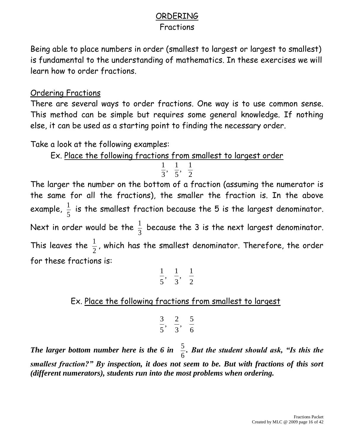#### ORDERING

#### Fractions

Being able to place numbers in order (smallest to largest or largest to smallest) is fundamental to the understanding of mathematics. In these exercises we will learn how to order fractions.

#### Ordering Fractions

There are several ways to order fractions. One way is to use common sense. This method can be simple but requires some general knowledge. If nothing else, it can be used as a starting point to finding the necessary order.

Take a look at the following examples:

Ex. Place the following fractions from smallest to largest order

$$
\frac{1}{3}, \frac{1}{5}, \frac{1}{2}
$$

The larger the number on the bottom of a fraction (assuming the numerator is the same for all the fractions), the smaller the fraction is. In the above example, 5  $\frac{1}{5}$  is the smallest fraction because the 5 is the largest denominator. Next in order would be the 3  $\frac{1}{2}$  because the 3 is the next largest denominator. This leaves the 2  $\frac{1}{2}$ , which has the smallest denominator. Therefore, the order for these fractions is:

$$
\frac{1}{5}, \frac{1}{3}, \frac{1}{2}
$$

Ex. Place the following fractions from smallest to largest

$$
\frac{3}{5}, \frac{2}{3}, \frac{5}{6}
$$

*The larger bottom number here is the 6 in*  6 5 *. But the student should ask, "Is this the smallest fraction?" By inspection, it does not seem to be. But with fractions of this sort (different numerators), students run into the most problems when ordering.*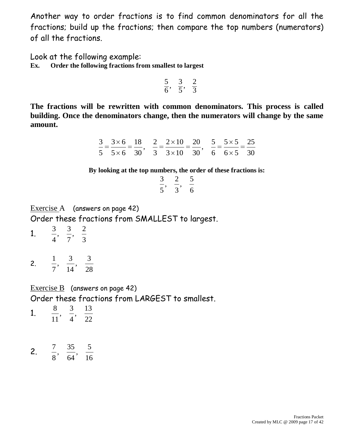Another way to order fractions is to find common denominators for all the fractions; build up the fractions; then compare the top numbers (numerators) of all the fractions.

Look at the following example: **Ex. Order the following fractions from smallest to largest**

$$
\frac{5}{6}, \frac{3}{5}, \frac{2}{3}
$$

**The fractions will be rewritten with common denominators. This process is called building. Once the denominators change, then the numerators will change by the same amount.**

|  |  | $3 \times 6$ 18 2 2 × 10 20 5 5 × 5 25                                                   |  |  |
|--|--|------------------------------------------------------------------------------------------|--|--|
|  |  | $5\quad 5 \times 6\quad 30$ , $3\quad 3 \times 10\quad 30$ , $6\quad 6 \times 5\quad 30$ |  |  |

**By looking at the top numbers, the order of these fractions is:**

| 3 | 2 | 5 |
|---|---|---|
| 5 | 3 | 6 |

Exercise A (answers on page 42) Order these fractions from SMALLEST to largest.

- 1. , ,
- 2. , ,

Exercise B (answers on page 42)

Order these fractions from LARGEST to smallest.

| Ω  | 13       |
|----|----------|
| 11 | $\gamma$ |

2. , ,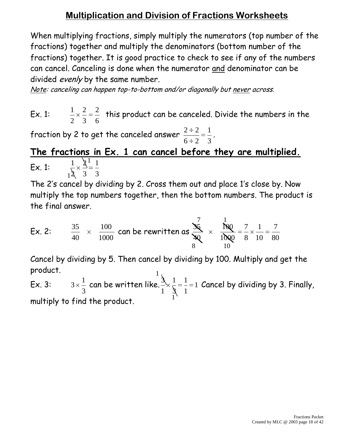### **Multiplication and Division of Fractions Worksheets**

When multiplying fractions, simply multiply the numerators (top number of the fractions) together and multiply the denominators (bottom number of the fractions) together. It is good practice to check to see if any of the numbers can cancel. Canceling is done when the numerator and denominator can be divided evenly by the same number.

Note: canceling can happen top-to-bottom and/or diagonally but never across.

Ex. 1: 6 2 3 2 2 1 this product can be canceled. Divide the numbers in the

fraction by 2 to get the canceled answer 3 1  $6 \div 2$  $2 \div 2$ .

#### 1  $1^2$  3 3 **The fractions in Ex. 1 can cancel before they are multiplied.** Ex. 1: 1 3  $\cancel{2}$  $\mathbf{\hat{z}}$ 1

The 2's cancel by dividing by 2. Cross them out and place 1's close by. Now multiply the top numbers together, then the bottom numbers. The product is the final answer.

Ex. 2: 
$$
\frac{35}{40} \times \frac{100}{1000}
$$
 can be rewritten as  $\frac{35}{40} \times \frac{1}{1000} = \frac{7}{8} \times \frac{1}{10} = \frac{7}{80}$ 

1 Cancel by dividing by 5. Then cancel by dividing by 100. Multiply and get the product.

1 Ex. 3: 3 1  $3 \times \frac{1}{2}$  can be written like.  $\frac{1}{2} \times \frac{1}{2} = \frac{1}{2} = 1$ 1 1 3 1 1 3 Cancel by dividing by 3. Finally, multiply to find the product.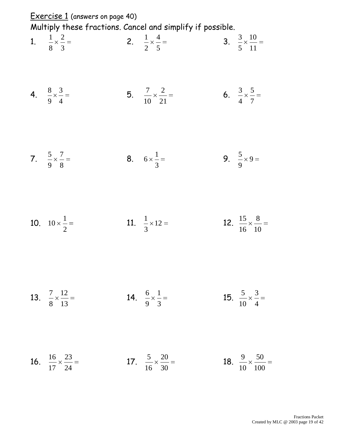| Exercise 1 (answers on page 40)                   |                                                                                                     |                                                   |
|---------------------------------------------------|-----------------------------------------------------------------------------------------------------|---------------------------------------------------|
| 1. $\frac{1}{8} \times \frac{2}{3} =$             | Multiply these fractions. Cancel and simplify if possible.<br>2. $\frac{1}{2} \times \frac{4}{5} =$ | 3. $\frac{3}{5} \times \frac{10}{11} =$           |
| 4. $\frac{8}{9} \times \frac{3}{4} =$             | 5. $\frac{7}{10} \times \frac{2}{21} =$                                                             | 6. $\frac{3}{4} \times \frac{5}{7} =$             |
| 7. $\frac{5}{9} \times \frac{7}{8} =$             | 8. $6 \times \frac{1}{3}$                                                                           | 9. $\frac{5}{9} \times 9 =$                       |
| 10. $10 \times \frac{1}{2}$                       | 11. $\frac{1}{3} \times 12 =$                                                                       | 12. $rac{15}{16} \times \frac{8}{10} =$           |
| 13. $\frac{7}{8} \times \frac{12}{13} =$          | 14. $\frac{6}{9} \times \frac{1}{3} =$                                                              | 15. $\frac{5}{10} \times \frac{3}{4} =$           |
| <b>16.</b> $\frac{16}{17} \times \frac{23}{24} =$ | 17. $rac{5}{16} \times \frac{20}{30} =$                                                             | <b>18.</b> $\frac{9}{10} \times \frac{50}{100} =$ |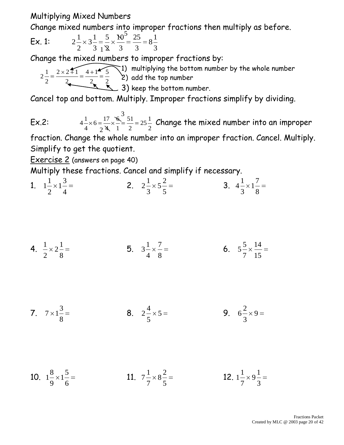#### Multiplying Mixed Numbers

Change mixed numbers into improper fractions then multiply as before.

**Ex. 1:** 
$$
2\frac{1}{2} \times 3\frac{1}{3} = \frac{5}{12} \times \frac{10^5}{3} = \frac{25}{3} = 8\frac{1}{3}
$$

Change the mixed numbers to improper fractions by:

1) multiplying the bottom number by the whole number 2) add the top number 3) keep the bottom number.  $2^{\frac{1}{2}}$   $2 \times 2 = 1$   $4 + 1$   $\frac{1}{2}$ 

Cancel top and bottom. Multiply. Improper fractions simplify by dividing. cel top and bottom

 Ex.2:  $25^{\frac{1}{2}}$   $6 = \frac{17}{10}$   $4\frac{1}{2}\times 6 = \frac{17}{2}\times \frac{6}{2} = \frac{51}{2} = 25\frac{1}{2}$  Change the mixed number into an improper

fraction. Change the whole number into an improper fraction. Cancel. Multiply. Simplify to get the quotient.

Exercise 2 (answers on page 40)

Multiply these fractions. Cancel and simplify if necessary.

1. 
$$
1\frac{1}{2} \times 1\frac{3}{4} =
$$
  
2.  $2\frac{1}{3} \times 5\frac{2}{5} =$   
3.  $4\frac{1}{3} \times 1\frac{7}{8} =$ 

**4.** 
$$
\frac{1}{2} \times 2\frac{1}{8} =
$$
   
**5.**  $3\frac{1}{4} \times \frac{7}{8} =$    
**6.**  $5\frac{5}{7} \times \frac{14}{15} =$ 

7. 
$$
7 \times 1\frac{3}{8} =
$$
 8.  $2\frac{4}{5} \times 5 =$  9.  $6\frac{2}{3} \times 9 =$ 

10. 
$$
1\frac{8}{9} \times 1\frac{5}{6} =
$$
  
11.  $7\frac{1}{7} \times 8\frac{2}{5} =$   
12.  $1\frac{1}{7} \times 9\frac{1}{3} =$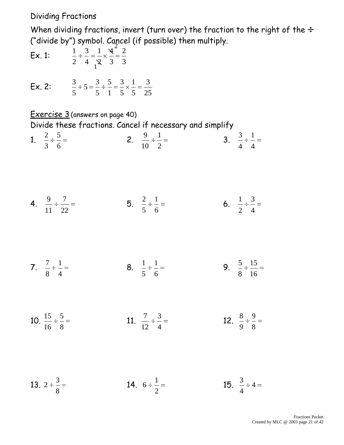Dividing Fractions

When dividing fractions, invert (turn over) the fraction to the right of the  $\div$ ("divide by") symbol. Cancel (if possible) then multiply.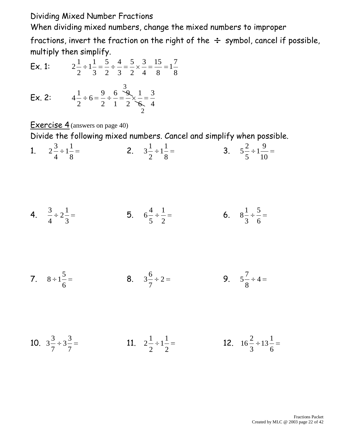Dividing Mixed Number Fractions

When dividing mixed numbers, change the mixed numbers to improper

fractions, invert the fraction on the right of the  $\div$  symbol, cancel if possible, multiply then simplify.

> 

Ex. 1: 

$$
\mathsf{Ex.}\ 2\mathsf{:}
$$

$$
4\frac{1}{2} \div 6 = \frac{9}{2} \div \frac{6}{1} = \frac{3}{2} \times \frac{1}{6} = \frac{3}{4}
$$

Exercise 4 (answers on page 40)

Divide the following mixed numbers. Cancel and simplify when possible.

1. 
$$
2\frac{3}{4} \div 1\frac{1}{8} =
$$
  
2.  $3\frac{1}{2} \div 1\frac{1}{8} =$   
3.  $5\frac{2}{5} \div 1\frac{9}{10} =$ 

**4.** 
$$
\frac{3}{4} \div 2\frac{1}{3} =
$$
 **5.**  $6\frac{4}{5} \div \frac{1}{2} =$  **6.**  $8\frac{1}{3} \div \frac{5}{6} =$ 

7. 
$$
8 \div 1\frac{5}{6} =
$$
 8.  $3\frac{6}{7} \div 2 =$  9.  $5\frac{7}{8} \div 4 =$ 

10. 11. 12.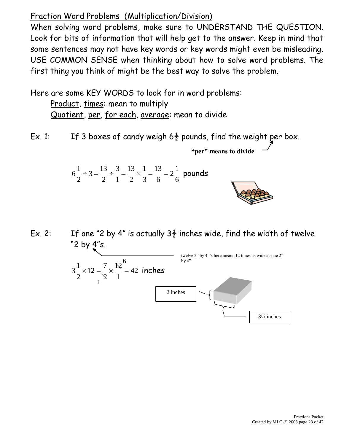#### Fraction Word Problems (Multiplication/Division)

When solving word problems, make sure to UNDERSTAND THE QUESTION. Look for bits of information that will help get to the answer. Keep in mind that some sentences may not have key words or key words might even be misleading. USE COMMON SENSE when thinking about how to solve word problems. The first thing you think of might be the best way to solve the problem.

Here are some KEY WORDS to look for in word problems:

Product, times: mean to multiply Quotient, per, for each, average: mean to divide

Ex. 1: If 3 boxes of candy weigh  $6\frac{1}{2}$  pounds, find the weight per box.

**"per" means to divide**

6 1 2 6 13 3 1 2 13 1 3 2  $3 = \frac{13}{1}$ 2 1  $6\frac{1}{2} \div 3 = \frac{13}{2} \div \frac{5}{4} = \frac{13}{2} \times \frac{1}{2} = \frac{13}{2} = 2\frac{1}{4}$  pounds

Ex. 2: If one "2 by 4" is actually  $3\frac{1}{2}$  inches wide, find the width of twelve "2 by 4"s.

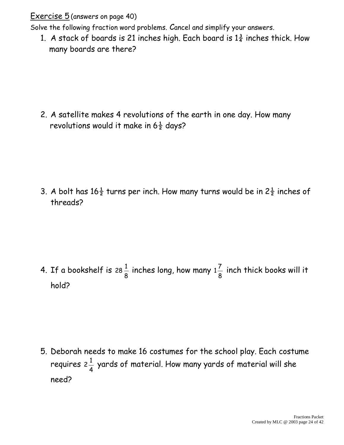Exercise 5 (answers on page 40)

Solve the following fraction word problems. Cancel and simplify your answers.

1. A stack of boards is 21 inches high. Each board is  $1\frac{3}{4}$  inches thick. How many boards are there?

2. A satellite makes 4 revolutions of the earth in one day. How many revolutions would it make in  $6\frac{1}{2}$  days?

3. A bolt has  $16\frac{1}{2}$  turns per inch. How many turns would be in  $2\frac{1}{2}$  inches of threads?

4. If a bookshelf is 8 28 $\frac{1}{6}$  inches long, how many 8  $1\frac{7}{6}$  inch thick books will it hold?

5. Deborah needs to make 16 costumes for the school play. Each costume requires 4  $2\frac{1}{4}$  yards of material. How many yards of material will she need?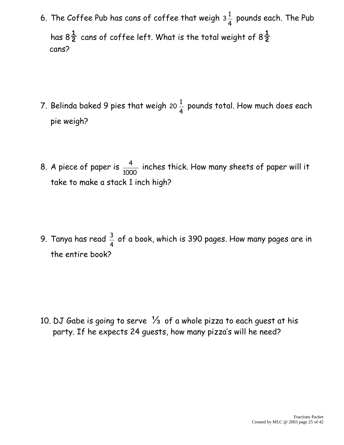6. The Coffee Pub has cans of coffee that weigh 4  $3\frac{1}{4}$  pounds each. The Pub has  $8\frac{1}{2}$  cans of coffee left. What is the total weight of  $8\frac{1}{2}$ cans?

- 7. Belinda baked 9 pies that weigh 4 20 $\frac{1}{4}$  pounds total. How much does each pie weigh?
- 8. A piece of paper is 1000  $\frac{4}{100}$  inches thick. How many sheets of paper will it take to make a stack 1 inch high?

9. Tanya has read 4  $\frac{3}{4}$  of a book, which is 390 pages. How many pages are in the entire book?

10. DJ Gabe is going to serve  $\frac{1}{3}$  of a whole pizza to each quest at his party. If he expects 24 guests, how many pizza's will he need?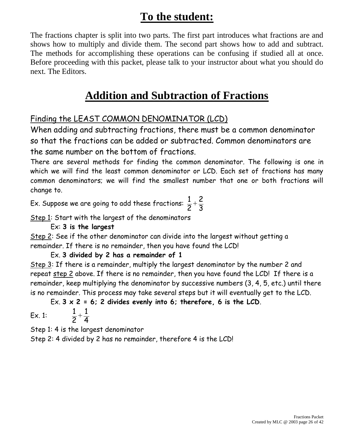# **To the student:**

The fractions chapter is split into two parts. The first part introduces what fractions are and shows how to multiply and divide them. The second part shows how to add and subtract. The methods for accomplishing these operations can be confusing if studied all at once. Before proceeding with this packet, please talk to your instructor about what you should do next. The Editors.

## **Addition and Subtraction of Fractions**

#### Finding the LEAST COMMON DENOMINATOR (LCD)

When adding and subtracting fractions, there must be a common denominator so that the fractions can be added or subtracted. Common denominators are the same number on the bottom of fractions.

There are several methods for finding the common denominator. The following is one in which we will find the least common denominator or LCD. Each set of fractions has many common denominators; we will find the smallest number that one or both fractions will change to.

Ex. Suppose we are going to add these fractions: 3 2 2 1

Step 1: Start with the largest of the denominators

Ex: **3 is the largest**

Step 2: See if the other denominator can divide into the largest without getting a remainder. If there is no remainder, then you have found the LCD!

Ex. **3 divided by 2 has a remainder of 1**

Step 3: If there is a remainder, multiply the largest denominator by the number 2 and repeat step 2 above. If there is no remainder, then you have found the LCD! If there is a remainder, keep multiplying the denominator by successive numbers (3, 4, 5, etc.) until there is no remainder. This process may take several steps but it will eventually get to the LCD.

Ex. **3 x 2 = 6; 2 divides evenly into 6; therefore, 6 is the LCD**.

Ex. 1: 4 1 2 1

Step 1: 4 is the largest denominator

Step 2: 4 divided by 2 has no remainder, therefore 4 is the LCD!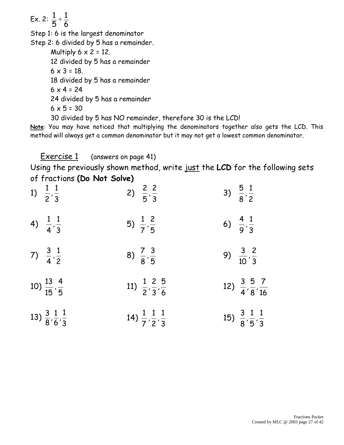Ex. 2: 6 1 5 1 Step 1: 6 is the largest denominator Step 2: 6 divided by 5 has a remainder. Multiply  $6 \times 2 = 12$ . 12 divided by 5 has a remainder  $6 \times 3 = 18$ . 18 divided by 5 has a remainder  $6 \times 4 = 24$ 24 divided by 5 has a remainder  $6 \times 5 = 30$ 30 divided by 5 has NO remainder, therefore 30 is the LCD!

**Note**: You may have noticed that multiplying the denominators together also gets the LCD. This method will always get a common denominator but it may not get a lowest common denominator.

Exercise 1 (answers on page 41)

Using the previously shown method, write just the **LCD** for the following sets of fractions **(Do Not Solve)**

| 1) $\frac{1}{2}, \frac{1}{3}$               | 2) $\frac{2}{5}, \frac{2}{3}$                     | 3) $\frac{5}{8}, \frac{1}{2}$                |
|---------------------------------------------|---------------------------------------------------|----------------------------------------------|
| 4) $\frac{1}{4}, \frac{1}{3}$               | 5) $\frac{1}{7}, \frac{2}{5}$                     | 6) $\frac{4}{9}, \frac{1}{3}$                |
| 7) $\frac{3}{4}, \frac{1}{2}$               | 8) $\frac{7}{8}, \frac{3}{5}$                     | 9) $\frac{3}{10}, \frac{2}{3}$               |
| 10) $\frac{13}{15}, \frac{4}{5}$            | 11) $\frac{1}{2}$ , $\frac{2}{3}$ , $\frac{5}{6}$ | 12) $\frac{3}{4}, \frac{5}{8}, \frac{7}{16}$ |
| 13) $\frac{3}{8}, \frac{1}{6}, \frac{1}{3}$ | 14) $\frac{1}{7}$ , $\frac{1}{2}$ , $\frac{1}{3}$ | 15) $\frac{3}{8}, \frac{1}{5}, \frac{1}{3}$  |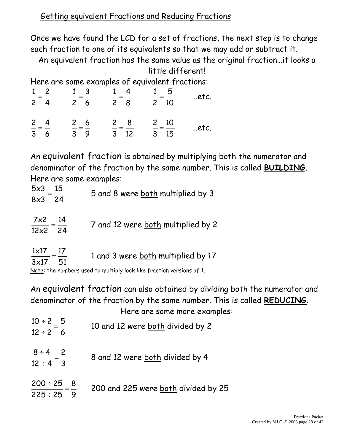Once we have found the LCD for a set of fractions, the next step is to change each fraction to one of its equivalents so that we may add or subtract it.

An equivalent fraction has the same value as the original fraction…it looks a little different!

Here are some examples of equivalent fractions:

| $1\quad 2$<br>$2 \quad 4$                 | $\frac{1}{2} = \frac{3}{2}$<br>$2\quad 6$     | $1 \quad 4$<br>$=$ $=$ $-$<br>$2 \quad 8$ | $1\quad 5$<br>$\frac{1}{2} = \frac{1}{10}$ | etc. |
|-------------------------------------------|-----------------------------------------------|-------------------------------------------|--------------------------------------------|------|
| $\frac{2}{2} = \frac{4}{1}$<br>$3\quad 6$ | $\frac{2}{2} = \frac{6}{5}$<br>3 <sup>9</sup> | $\frac{2}{2} = \frac{8}{1}$<br>$3 \t12$   | $\frac{2}{3} = \frac{10}{15}$              | etc. |

An equivalent fraction is obtained by multiplying both the numerator and denominator of the fraction by the same number. This is called **BUILDING**. Here are some examples:

| 5x3<br>15<br>$8x3$ 24                               | 5 and 8 were both multiplied by 3  |
|-----------------------------------------------------|------------------------------------|
| $\frac{7\times2}{100}=\frac{14}{100}$<br>$12x^2$ 24 | 7 and 12 were both multiplied by 2 |
| $1\times17$<br>17<br>3x17<br>-51                    | 1 and 3 were both multiplied by 17 |

Note: the numbers used to multiply look like fraction versions of 1.

An equivalent fraction can also obtained by dividing both the numerator and denominator of the fraction by the same number. This is called **REDUCING**. Here are some more examples:

| $\frac{10 \div 2}{10 \div 2} = \frac{5}{10}$<br>$12 \div 2 = 6$      | 10 and 12 were both divided by 2    |
|----------------------------------------------------------------------|-------------------------------------|
| $\frac{8 \div 4}{12 \div 4} = \frac{2}{3}$                           | 8 and 12 were both divided by 4     |
| $\frac{200 \div 25}{200 \div 25} = \frac{8}{100}$<br>$225 \div 25$ 9 | 200 and 225 were both divided by 25 |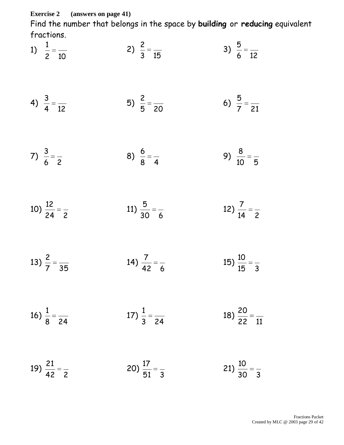**Exercise 2 (answers on page 41)**

Find the number that belongs in the space by **building** or **reducing** equivalent fractions.

1) 10 2) 15 3) 12 

4) 
$$
\frac{3}{4} = \frac{1}{12}
$$
 5)  $\frac{2}{5} = \frac{1}{20}$  6)  $\frac{5}{7} = \frac{1}{21}$ 

7) 
$$
\frac{3}{6} = \frac{1}{2}
$$
 8)  $\frac{6}{8} = \frac{1}{4}$  9)  $\frac{8}{10} = \frac{1}{5}$ 

10) 
$$
\frac{12}{24} = \frac{12}{2}
$$
 11)  $\frac{5}{30} = \frac{12}{6}$  12)  $\frac{7}{14} = \frac{12}{2}$ 

13) 
$$
\frac{2}{7} = \frac{135}{35}
$$
 14)  $\frac{7}{42} = \frac{13}{6}$  15)  $\frac{10}{15} = \frac{1}{3}$ 

16) 
$$
\frac{1}{8} = \frac{1}{24}
$$
 17)  $\frac{1}{3} = \frac{1}{24}$  18)  $\frac{20}{22} = \frac{1}{11}$ 

19) 
$$
\frac{21}{42} = \frac{1}{2}
$$
 20)  $\frac{17}{51} = \frac{1}{3}$  21)  $\frac{10}{30} = \frac{1}{3}$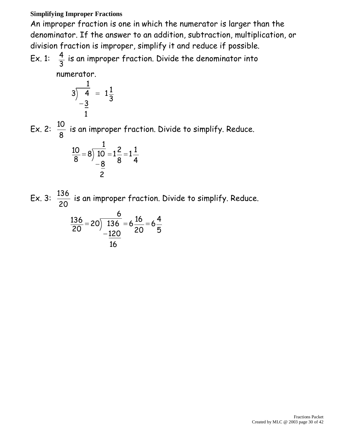#### **Simplifying Improper Fractions**

An improper fraction is one in which the numerator is larger than the denominator. If the answer to an addition, subtraction, multiplication, or division fraction is improper, simplify it and reduce if possible.

Ex. 1:  $\frac{4}{2}$  is an improper fraction. Divide the denominator into

numerator.

$$
3\overline{\smash)4} = 1\frac{1}{3} = 1\frac{1}{3}
$$

Ex. 2: is an improper fraction. Divide to simplify. Reduce.

$$
\frac{10}{8} = 8 \overline{\smash) \frac{1}{10}} = 1\frac{2}{8} = 1\frac{1}{4}
$$

Ex. 3:  $\frac{136}{22}$  is an improper fraction. Divide to simplify. Reduce.

$$
\frac{136}{20} = 20 \overline{\smash) \frac{6}{136}} = 6 \frac{16}{20} = 6 \frac{4}{5}
$$
\n
$$
\frac{120}{16}
$$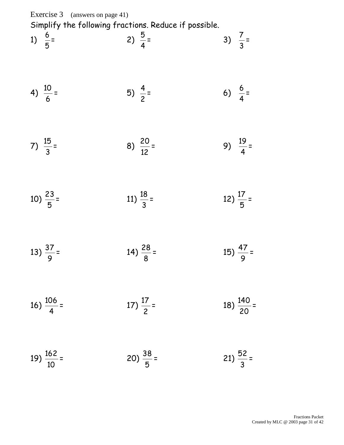Exercise 3 (answers on page 41) Simplify the following fractions. Reduce if possible.

1) 5 6 = 2) 4 5 = 3) 3  $\frac{7}{2}$ =

4) 
$$
\frac{10}{6}
$$
 = 5)  $\frac{4}{2}$  = 6)  $\frac{6}{4}$  =

$$
7) \frac{15}{3} = 8) \frac{20}{12} = 9) \frac{19}{4} =
$$

$$
10) \frac{23}{5} = 11) \frac{18}{3} = 12) \frac{17}{5} =
$$

$$
13) \frac{37}{9} = 14) \frac{28}{8} = 15) \frac{47}{9} =
$$

16) 
$$
\frac{106}{4} =
$$
 17)  $\frac{17}{2} =$  18)  $\frac{140}{20} =$ 

$$
19) \frac{162}{10} = 20) \frac{38}{5} = 21) \frac{52}{3} =
$$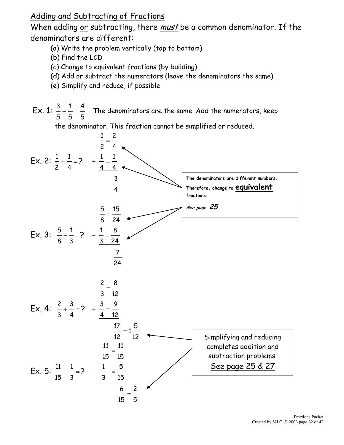Adding and Subtracting of Fractions

When adding or subtracting, there *must* be a common denominator. If the denominators are different:

- (a) Write the problem vertically (top to bottom)
- (b) Find the LCD
- (c) Change to equivalent fractions (by building)
- (d) Add or subtract the numerators (leave the denominators the same)
- (e) Simplify and reduce, if possible

Ex. 1: The denominators are the same. Add the numerators, keep

the denominator. This fraction cannot be simplified or reduced.

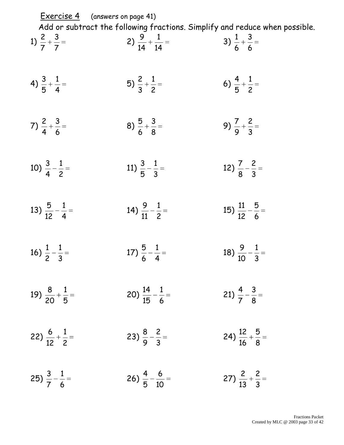| <b>Exercise 4</b> (answers on page 41) |                                     | Add or subtract the following fractions. Simplify and reduce when possible. |
|----------------------------------------|-------------------------------------|-----------------------------------------------------------------------------|
| 1) $\frac{2}{7} + \frac{3}{7} =$       | 2) $\frac{9}{14} + \frac{1}{14} =$  | 3) $\frac{1}{6} + \frac{3}{6} =$                                            |
| 4) $\frac{3}{5} + \frac{1}{4} =$       | 5) $\frac{2}{3} + \frac{1}{2} =$    | 6) $\frac{4}{5} + \frac{1}{2} =$                                            |
| 7) $\frac{2}{4} + \frac{3}{6} =$       | 8) $\frac{5}{6} + \frac{3}{8} =$    | 9) $\frac{7}{9} + \frac{2}{3} =$                                            |
| 10) $\frac{3}{4} - \frac{1}{2} =$      | 11) $\frac{3}{5} - \frac{1}{3} =$   | 12) $\frac{7}{8} - \frac{2}{3} =$                                           |
| 13) $\frac{5}{12} - \frac{1}{4} =$     | 14) $\frac{9}{11} - \frac{1}{2} =$  | 15) $\frac{11}{12} - \frac{5}{6} =$                                         |
| 16) $\frac{1}{2} - \frac{1}{3} =$      | 17) $\frac{5}{6} - \frac{1}{4} =$   | 18) $\frac{9}{10} - \frac{1}{3} =$                                          |
| 19) $\frac{8}{20} + \frac{1}{5} =$     | 20) $\frac{14}{15} - \frac{1}{6} =$ | 21) $\frac{4}{7} - \frac{3}{8} =$                                           |
| 22) $\frac{6}{12} + \frac{1}{2} =$     | 23) $\frac{8}{9} - \frac{2}{3} =$   | 24) $\frac{12}{16} + \frac{5}{8} =$                                         |
| 25) $\frac{3}{7} - \frac{1}{6} =$      | 26) $\frac{4}{5} - \frac{6}{10} =$  | 27) $\frac{2}{13} + \frac{2}{3} =$                                          |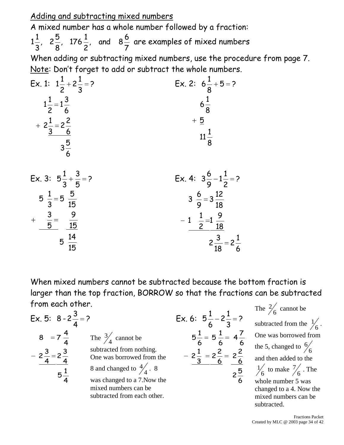Adding and subtracting mixed numbers

A mixed number has a whole number followed by a fraction: 

 , and 8 , 176 , 2  $1\frac{1}{2}$ ,  $2\frac{3}{2}$ ,  $176\frac{1}{2}$ , and  $8\frac{3}{2}$  are examples of mixed numbers

When adding or subtracting mixed numbers, use the procedure from page 7. Note: Don't forget to add or subtract the whole numbers.

Ex. 1: 
$$
1\frac{1}{2} + 2\frac{1}{3} = ?
$$
  
\n $1\frac{1}{2} = 1\frac{3}{6}$   
\n $+ 2\frac{1}{3} = 2\frac{2}{6}$   
\n $3\frac{5}{6}$   
\nEx. 2:  $6\frac{1}{8} + 5 = ?$   
\nEx. 2:  $6\frac{1}{8} + 5 = ?$   
\n $6\frac{1}{8}$   
\n $11\frac{1}{8}$ 



When mixed numbers cannot be subtracted because the bottom fraction is larger than the top fraction, BORROW so that the fractions can be subtracted from each other.

Ex. 5: 
$$
8 - 2\frac{3}{4} = 2
$$

\n
$$
8 = 7\frac{4}{4}
$$
\nThe  $\frac{3}{4}$  cannot be subtracted from nothing.

\n
$$
-2\frac{3}{4} = 2\frac{3}{4}
$$
\nSubtracted from nothing.

\n
$$
5\frac{1}{4} = 2\frac{2}{4} = 2\frac{2}{6}
$$
\nSubtracted from the  $2\frac{1}{3} = 2\frac{2}{6} = 2\frac{2}{6}$ 

\n
$$
5\frac{1}{4}
$$
\nAs was changed to  $\frac{4}{4}$ . 8

\n
$$
5\frac{1}{4}
$$
\nwas changed to a 7. Now the mixed numbers can be subtracted from each other.

The  $\frac{2}{6}$  $\frac{2}{2}$  cannot be subtracted from the  $\frac{1}{6}$ . One was borrowed from the 5, changed to  $\frac{6}{6}$  and then added to the  $\frac{1}{6}$  to make  $\frac{7}{6}$  $\frac{7}{6}$ . The whole number 5 was changed to a 4. Now the mixed numbers can be subtracted.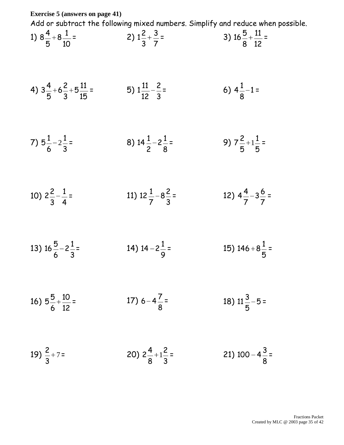**Exercise 5 (answers on page 41)**

Add or subtract the following mixed numbers. Simplify and reduce when possible.

1) 
$$
8\frac{4}{5} + 8\frac{1}{10} =
$$
  
2)  $1\frac{2}{3} + \frac{3}{7} =$   
3)  $16\frac{5}{8} + \frac{11}{12} =$ 

4) 
$$
3\frac{4}{5} + 6\frac{2}{3} + 5\frac{11}{15} =
$$
 5)  $1\frac{11}{12} - \frac{2}{3} =$  6)  $4\frac{1}{8} - 1 =$ 

7) 
$$
5\frac{1}{6} - 2\frac{1}{3} =
$$
 8)  $14\frac{1}{2} - 2\frac{1}{8} =$  9)  $7\frac{2}{5} + 1\frac{1}{5} =$ 

10) 
$$
2\frac{2}{3} - \frac{1}{4} =
$$
 11)  $12\frac{1}{7} - 8\frac{2}{3} =$  12)  $4\frac{4}{7} - 3\frac{6}{7} =$ 

13) 
$$
16\frac{5}{6}-2\frac{1}{3}=
$$
 14)  $14-2\frac{1}{9}=$  15)  $146+8\frac{1}{5}=$ 

16) 
$$
5\frac{5}{6} + \frac{10}{12} =
$$
 17)  $6 - 4\frac{7}{8} =$  18)  $11\frac{3}{5} - 5 =$ 

19) 
$$
\frac{2}{3} + 7 =
$$
 20)  $2\frac{4}{8} + 1\frac{2}{3} =$  21)  $100 - 4\frac{3}{8} =$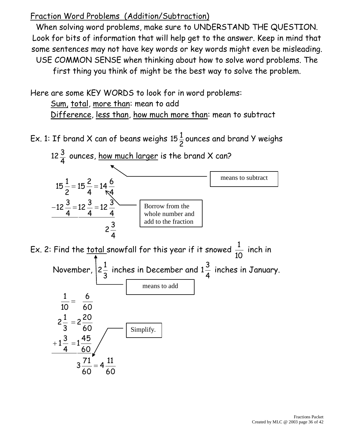#### Fraction Word Problems (Addition/Subtraction)

  $4\frac{11}{12}$ 

  $3\frac{71}{12}$ 

  $1\frac{45}{12}$ 

 

When solving word problems, make sure to UNDERSTAND THE QUESTION. Look for bits of information that will help get to the answer. Keep in mind that some sentences may not have key words or key words might even be misleading. USE COMMON SENSE when thinking about how to solve word problems. The first thing you think of might be the best way to solve the problem.

Here are some KEY WORDS to look for in word problems:

Sum, total, more than: mean to add Difference, less than, how much more than: mean to subtract

Ex. 1: If brand X can of beans weighs  $\frac{1}{2}$ ounces and brand Y weighs



Simplify.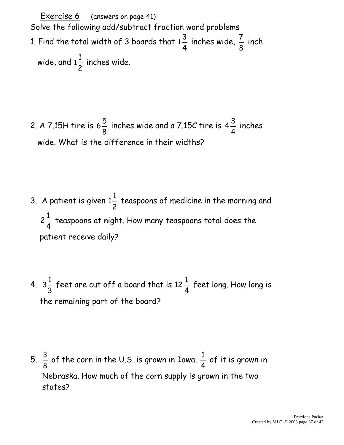Exercise 6 (answers on page 41) Solve the following add/subtract fraction word problems 1. Find the total width of 3 boards that 4 3  $1\frac{3}{4}$  inches wide, 8  $\frac{7}{5}$  inch wide, and 2 1  $1\frac{1}{2}$  inches wide.

2. A 7.15H tire is 8 5  $6\frac{3}{6}$  inches wide and a 7.15C tire is 4 3  $4\frac{3}{4}$  inches wide. What is the difference in their widths?

- 3. A patient is given 2 1  $1\frac{1}{2}$  teaspoons of medicine in the morning and 4 1 2 teaspoons at night. How many teaspoons total does the patient receive daily?
- 4. 3 1  $3\frac{1}{6}$  feet are cut off a board that is 4 1  $12 -$  feet long. How long is the remaining part of the board?

5. 8  $\frac{3}{2}$  of the corn in the U.S. is grown in Iowa. 4  $\frac{1}{4}$  of it is grown in Nebraska. How much of the corn supply is grown in the two states?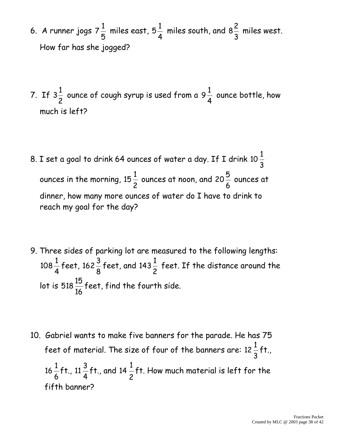- 6. A runner jogs 5 1  $7\frac{1}{2}$  miles east, 4 1  $5\frac{1}{4}$  miles south, and 3 2  $8\frac{2}{3}$  miles west. How far has she jogged?
- 7. If 2 1  $3\frac{1}{6}$  ounce of cough syrup is used from a 4 1  $9\frac{1}{4}$  ounce bottle, how much is left?
- 8. I set a goal to drink 64 ounces of water a day. If I drink 3 1 10 ounces in the morning, 2 1 15 $\frac{1}{6}$  ounces at noon, and 6 5 20 $\frac{3}{2}$  ounces at dinner, how many more ounces of water do I have to drink to reach my goal for the day?
- 9. Three sides of parking lot are measured to the following lengths: 4 1  $108 -$ feet, 8 3 162 $\frac{3}{6}$  feet, and 2 1 143 $\frac{1}{6}$  feet. If the distance around the lot is 16 518 $\frac{15}{11}$ feet, find the fourth side.
- 10. Gabriel wants to make five banners for the parade. He has 75 feet of material. The size of four of the banners are: 3 1  $12 - f$ t., 6 1  $16 - f$ t., 4 3  $11 - f$ t., and 2 1 14  $\frac{1}{2}$ ft. How much material is left for the fifth banner?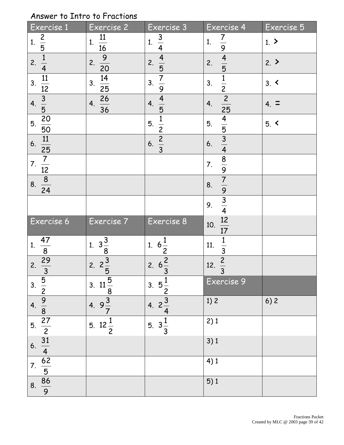#### Answer to Intro to Fractions

| Exercise 1                                                                                    | Exercise 2                              | Exercise <sub>3</sub>                  | Exercise 4                                                    | Exercise 5     |
|-----------------------------------------------------------------------------------------------|-----------------------------------------|----------------------------------------|---------------------------------------------------------------|----------------|
| $\frac{2}{5}$<br>1.                                                                           | $\frac{11}{16}$<br>1.                   | $\frac{3}{4}$<br>1.                    | $\frac{7}{9}$<br>1.                                           | 1 <sub>2</sub> |
| $\frac{1}{4}$<br>2.                                                                           | $\frac{9}{20}$<br>2.                    | $\frac{4}{5}$<br>2.                    | $\frac{4}{5}$<br>2.                                           | 2.             |
| $\frac{11}{12}$<br>3.                                                                         | $\frac{14}{1}$<br>3.<br>$\overline{25}$ | $\frac{7}{9}$<br>3.                    | $\frac{1}{2}$<br>3.                                           | $3. \leq$      |
| $\frac{3}{5}$ $\frac{20}{5}$<br>4.                                                            | $\frac{26}{36}$<br>4.                   | $\frac{4}{5}$<br>4.                    | $\frac{2}{25}$<br>4.                                          | $4. \equiv$    |
| 5.<br>$\overline{50}$                                                                         |                                         | $\frac{1}{2}$<br>5.                    | 5.                                                            | $5. \le$       |
| $\frac{11}{25}$<br>6.                                                                         |                                         | $\frac{2}{3}$<br>6.                    | $\frac{4}{5}$ $\frac{3}{4}$<br>6.                             |                |
| $\frac{7}{12}$<br>7.                                                                          |                                         |                                        | 7.                                                            |                |
| $\frac{8}{24}$<br>8.                                                                          |                                         |                                        | $\frac{8}{9}$ $\frac{9}{7}$ $\frac{9}{9}$ $\frac{3}{4}$<br>8. |                |
|                                                                                               |                                         |                                        | 9.                                                            |                |
| Exercise 6                                                                                    | Exercise 7                              | Exercise 8                             | $\frac{12}{17}$<br>10.                                        |                |
| $\frac{47}{8}$<br>1.                                                                          | 1. $3\frac{3}{8}$<br>2. $2\frac{3}{5}$  | 1. $6\frac{1}{2}$                      | $\frac{1}{3}$<br>11.                                          |                |
| $\frac{29}{3}$<br>2.                                                                          |                                         | $\frac{2}{3}$<br>2.6                   | $\frac{2}{3}$<br>12.                                          |                |
|                                                                                               | 3. $11\frac{5}{8}$<br>4. $9\frac{3}{7}$ | 3. $5\frac{1}{2}$<br>4. $2\frac{3}{4}$ | Exercise 9                                                    |                |
|                                                                                               |                                         |                                        | 1)2                                                           | 6)2            |
|                                                                                               | 5. $12\frac{1}{2}$                      | 5. $3\frac{1}{3}$                      | 2)1                                                           |                |
| 3. $\frac{5}{2}$<br>4. $\frac{9}{8}$<br>5. $\frac{27}{2}$<br>$\frac{31}{4}$<br>$\frac{62}{5}$ |                                         |                                        | 3)1                                                           |                |
|                                                                                               |                                         |                                        | 4)1                                                           |                |
| $\frac{86}{9}$<br>8.                                                                          |                                         |                                        | 5)1                                                           |                |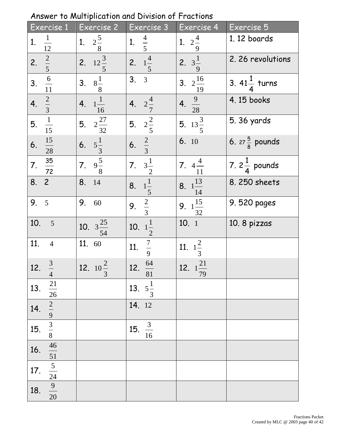| Exercise 1                                                                                                     | Exercise 2                      | Exercise 3             | Exercise 4                     | Exercise 5                |
|----------------------------------------------------------------------------------------------------------------|---------------------------------|------------------------|--------------------------------|---------------------------|
| $\frac{1}{12}$<br>1.                                                                                           | 1. $2\frac{5}{8}$               | 1. $\frac{4}{5}$       | 1. $2\frac{4}{9}$              | 1.12 boards               |
| $\frac{2}{5}$<br>2.                                                                                            | $\frac{1}{12\frac{3}{5}}$<br>2. | 2. $1\frac{4}{5}$      | 2. $3\frac{1}{9}$              | 2.26 revolutions          |
| $\frac{6}{11}$<br>3.                                                                                           | $8\frac{1}{8}$<br>3.            | 3.3                    | 3. $2\frac{16}{ }$<br>19       | 3. $41\frac{1}{4}$ turns  |
| $\frac{2}{3}$ $\frac{1}{15}$<br>$\overline{4}$ .                                                               | $\frac{1}{16}$<br>4.            | $2\frac{4}{7}$<br>4.   | 4. $\frac{9}{28}$              | 4.15 books                |
| 5.                                                                                                             | 5. $2\frac{27}{32}$             | 5. $2\frac{2}{5}$      | 5. $13\frac{3}{5}$             | 5.36 yards                |
| $\frac{15}{28}$<br>6.                                                                                          | $\frac{1}{3}$<br>6.             | $\frac{2}{3}$<br>6.    | 6.10                           | 6. $27\frac{5}{8}$ pounds |
| $\frac{35}{72}$<br>$\overline{7}$ .                                                                            | $\frac{1}{9}$<br>7.             | $3\frac{1}{2}$<br>7.   | 7. $4\frac{4}{11}$             | 7. $2\frac{1}{4}$ pounds  |
| 8.2                                                                                                            | 8. 14                           | $1\frac{1}{5}$<br>8.   | 8. $1\frac{13}{14}$            | 8.250 sheets              |
| 9.<br>5                                                                                                        | 9. 60                           | $\frac{2}{3}$<br>9.    | 9. $1\frac{15}{32}$            | 9.520 pages               |
| 10. 5                                                                                                          | 10. $3\frac{25}{1}$<br>54       | 10. $1\frac{1}{2}$     | 10.1                           | 10. 8 pizzas              |
| 11. 4                                                                                                          | 11. 60                          | $\frac{7}{9}$<br>11.   | 11. $1\frac{2}{3}$             |                           |
| $\frac{3}{1}$<br>12.<br>$\overline{4}$                                                                         | 12. $10^{\frac{2}{5}}$<br>3     | $\frac{64}{81}$<br>12. | 12. $1^{\underline{21}}$<br>79 |                           |
| $\frac{21}{26}$<br>13.                                                                                         |                                 | 13. $5\frac{1}{3}$     |                                |                           |
| 14.                                                                                                            |                                 | 14. 12                 |                                |                           |
| 15.                                                                                                            |                                 | $\frac{3}{16}$<br>15.  |                                |                           |
| $\frac{2}{9}$<br>$\frac{3}{3}$<br>$\frac{8}{46}$<br>$\frac{46}{51}$<br>$\frac{5}{24}$<br>$\frac{9}{20}$<br>16. |                                 |                        |                                |                           |
| 17.                                                                                                            |                                 |                        |                                |                           |
| 18.                                                                                                            |                                 |                        |                                |                           |

Answer to Multiplication and Division of Fractions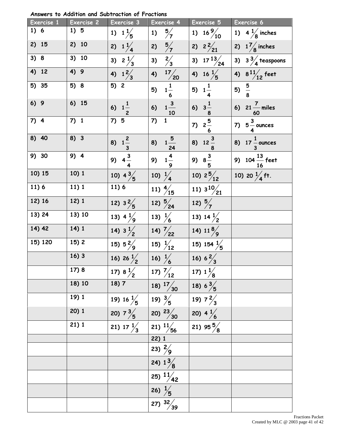**Answers to Addition and Subtraction of Fractions**

| Exercise 1 | Exercise 2 | Exercise 3                              | Exercise 4                       | Exercise 5                                      | Exercise 6                       |
|------------|------------|-----------------------------------------|----------------------------------|-------------------------------------------------|----------------------------------|
| 1) 6       | 1) 5       | 1) $1\frac{1}{5}$                       | $\frac{5}{7}$<br>1)              | 1) $16\frac{9}{10}$                             | 1) $4\frac{1}{8}$ inches         |
| 2) 15      | 2) 10      | 2) $1\frac{1}{4}$                       | $\frac{5}{7}$<br>2)              | $\overline{2}$ $2\frac{2}{21}$                  | 2) $1\frac{7}{8}$ inches         |
| 3) 8       | 3) 10      | 3) $2\frac{1}{3}$                       | $\frac{2}{3}$<br>3)              | 3) $17^{13}/24$                                 | 3) $3\frac{3}{4}$ teaspoons      |
| 4) 12      | 4) 9       | 4) $1\frac{2}{3}$                       | $\frac{17}{20}$<br>4)            | 4) $16\frac{1}{5}$                              | 4) $8^{11}/12$ feet              |
| 5) 35      | 5) 8       | $\overline{5)}$ 2                       | $\frac{1}{6}$<br>5)              | 5) $1\frac{1}{4}$                               | 5) $\frac{5}{8}$                 |
| 6) 9       | 6) 15      | 6) $1\frac{1}{2}$                       | $\frac{3}{10}$<br>6)             | 6) $3\frac{1}{8}$                               | 6) $21 \frac{7}{12}$ miles<br>60 |
| $7)$ 4     | $7)$ 1     | $7) \overline{5}$                       | $\mathbf 1$<br>7)                | 7) $2\frac{5}{7}$                               | 7) $5\frac{3}{4}$ ounces         |
| 8) 40      | $8)$ 3     | 8) $1\frac{2}{3}$                       | $\frac{1\frac{5}{24}}{24}$<br>8) | 8) $12\frac{3}{8}$                              | 8) $17\frac{1}{3}$ ounces        |
| 9) 30      | 9) 4       | 9) $4\frac{3}{4}$<br>10) $4\frac{3}{5}$ | $\frac{4}{1-\frac{9}{}}$<br>9)   | 9) $8\frac{3}{5}$                               | 9) $104\frac{13}{16}$ feet       |
| 10) 15     | 10) 1      |                                         | 10) $\frac{1}{4}$                | 10) $2\frac{5}{12}$                             | 10) 20 $\frac{1}{4}$ ft.         |
| 11)6       | 11)1       | 11)6                                    | 11) $\frac{4}{15}$               | $\frac{11}{11}$ 3 <sup>10</sup> / <sub>21</sub> |                                  |
| 12) 16     | 12) 1      | 12) $3\frac{2}{5}$                      | 12) $\frac{5}{24}$               | 12) $\frac{5}{7}$                               |                                  |
| 13) 24     | 13) 10     | 13) $4\frac{1}{9}$                      | 13) $\frac{1}{6}$                | 13) $14\frac{1}{2}$                             |                                  |
| 14) 42     | 14) 1      | 14) $3\frac{1}{2}$                      | 14) $\frac{7}{22}$               | 14) $11\frac{8}{9}$                             |                                  |
| 15) 120    | 15) 2      | 15) $5\frac{2}{9}$                      | 15) $\frac{1}{12}$               | 15) 154 $\frac{1}{5}$                           |                                  |
|            | 16)3       | 16) 26 $\frac{1}{2}$                    | 16) $\frac{1}{6}$                | 16) $6\frac{2}{3}$                              |                                  |
|            | 17) 8      | 17) $8\frac{1}{2}$                      | $\frac{17}{12}$                  | 17) $1\frac{1}{8}$                              |                                  |
|            | 18) 10     | 18) 7                                   | 18) $\frac{17}{30}$              | 18) $6\frac{3}{5}$                              |                                  |
|            | 19) 1      | 19) 16 $\frac{1}{5}$                    | 19) $\frac{3}{5}$                | 19) $7\frac{2}{3}$<br>20) $4\frac{1}{6}$        |                                  |
|            | 20)1       | 20) $7\frac{3}{5}$                      | 20) $\frac{23}{30}$              |                                                 |                                  |
|            | 21)1       | 21) $17\frac{1}{3}$                     | 21) $\frac{11}{56}$              | 21) 95 $\frac{5}{8}$                            |                                  |
|            |            |                                         |                                  |                                                 |                                  |
|            |            |                                         | $\frac{22}{23}$ $\frac{1}{2}$    |                                                 |                                  |
|            |            |                                         | 24) $1\frac{3}{8}$               |                                                 |                                  |
|            |            |                                         | $\overline{25)}$ $\frac{11}{42}$ |                                                 |                                  |
|            |            |                                         | $\frac{1}{26}$ $\frac{1}{5}$     |                                                 |                                  |
|            |            |                                         | $\overline{27)}$ $\frac{32}{39}$ |                                                 |                                  |